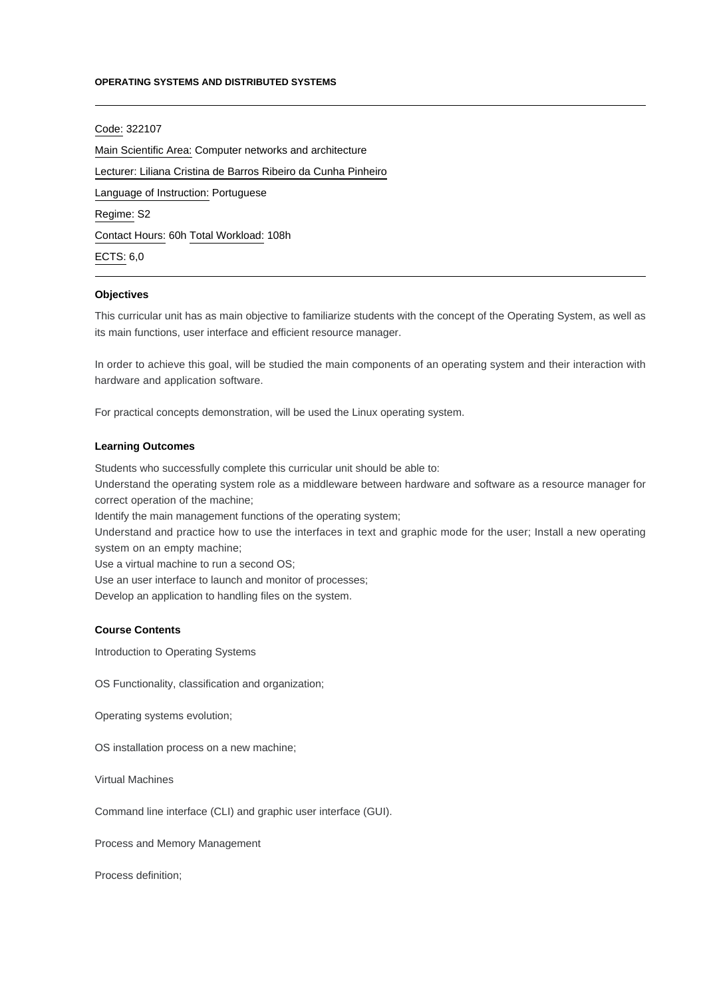### **OPERATING SYSTEMS AND DISTRIBUTED SYSTEMS**

## Code: 322107

Main Scientific Area: Computer networks and architecture Lecturer: [Liliana Cristina de Barros Ribeiro da Cunha Pinheiro](mailto:lpinheiro@ipca.pt) Language of Instruction: Portuguese Regime: S2 Contact Hours: 60h Total Workload: 108h ECTS: 6,0

#### **Objectives**

This curricular unit has as main objective to familiarize students with the concept of the Operating System, as well as its main functions, user interface and efficient resource manager.

In order to achieve this goal, will be studied the main components of an operating system and their interaction with hardware and application software.

For practical concepts demonstration, will be used the Linux operating system.

### **Learning Outcomes**

Students who successfully complete this curricular unit should be able to:

Understand the operating system role as a middleware between hardware and software as a resource manager for correct operation of the machine;

Identify the main management functions of the operating system;

Understand and practice how to use the interfaces in text and graphic mode for the user; Install a new operating system on an empty machine;

Use a virtual machine to run a second OS;

Use an user interface to launch and monitor of processes;

Develop an application to handling files on the system.

## **Course Contents**

Introduction to Operating Systems

OS Functionality, classification and organization;

Operating systems evolution;

OS installation process on a new machine;

Virtual Machines

Command line interface (CLI) and graphic user interface (GUI).

Process and Memory Management

Process definition;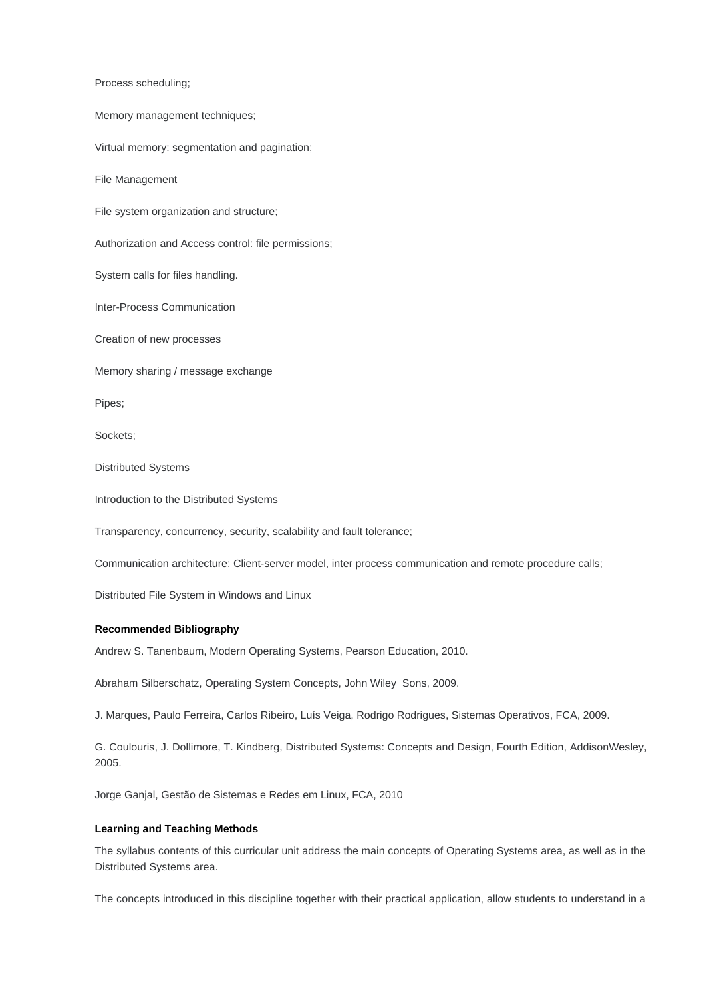Process scheduling;

Memory management techniques;

Virtual memory: segmentation and pagination;

File Management

File system organization and structure;

Authorization and Access control: file permissions;

System calls for files handling.

Inter-Process Communication

Creation of new processes

Memory sharing / message exchange

Pipes;

Sockets;

Distributed Systems

Introduction to the Distributed Systems

Transparency, concurrency, security, scalability and fault tolerance;

Communication architecture: Client-server model, inter process communication and remote procedure calls;

Distributed File System in Windows and Linux

### **Recommended Bibliography**

Andrew S. Tanenbaum, Modern Operating Systems, Pearson Education, 2010.

Abraham Silberschatz, Operating System Concepts, John Wiley Sons, 2009.

J. Marques, Paulo Ferreira, Carlos Ribeiro, Luís Veiga, Rodrigo Rodrigues, Sistemas Operativos, FCA, 2009.

G. Coulouris, J. Dollimore, T. Kindberg, Distributed Systems: Concepts and Design, Fourth Edition, AddisonWesley, 2005.

Jorge Ganjal, Gestão de Sistemas e Redes em Linux, FCA, 2010

# **Learning and Teaching Methods**

The syllabus contents of this curricular unit address the main concepts of Operating Systems area, as well as in the Distributed Systems area.

The concepts introduced in this discipline together with their practical application, allow students to understand in a